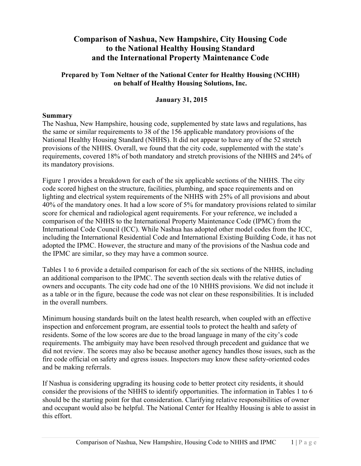# **Comparison of Nashua, New Hampshire, City Housing Code to the National Healthy Housing Standard and the International Property Maintenance Code**

### **Prepared by Tom Neltner of the National Center for Healthy Housing (NCHH) on behalf of Healthy Housing Solutions, Inc.**

### **January 31, 2015**

### **Summary**

The Nashua, New Hampshire, housing code, supplemented by state laws and regulations, has the same or similar requirements to 38 of the 156 applicable mandatory provisions of the National Healthy Housing Standard (NHHS). It did not appear to have any of the 52 stretch provisions of the NHHS. Overall, we found that the city code, supplemented with the state's requirements, covered 18% of both mandatory and stretch provisions of the NHHS and 24% of its mandatory provisions.

Figure 1 provides a breakdown for each of the six applicable sections of the NHHS. The city code scored highest on the structure, facilities, plumbing, and space requirements and on lighting and electrical system requirements of the NHHS with 25% of all provisions and about 40% of the mandatory ones. It had a low score of 5% for mandatory provisions related to similar score for chemical and radiological agent requirements. For your reference, we included a comparison of the NHHS to the International Property Maintenance Code (IPMC) from the International Code Council (ICC). While Nashua has adopted other model codes from the ICC, including the International Residential Code and International Existing Building Code, it has not adopted the IPMC. However, the structure and many of the provisions of the Nashua code and the IPMC are similar, so they may have a common source.

Tables 1 to 6 provide a detailed comparison for each of the six sections of the NHHS, including an additional comparison to the IPMC. The seventh section deals with the relative duties of owners and occupants. The city code had one of the 10 NHHS provisions. We did not include it as a table or in the figure, because the code was not clear on these responsibilities. It is included in the overall numbers.

Minimum housing standards built on the latest health research, when coupled with an effective inspection and enforcement program, are essential tools to protect the health and safety of residents. Some of the low scores are due to the broad language in many of the city's code requirements. The ambiguity may have been resolved through precedent and guidance that we did not review. The scores may also be because another agency handles those issues, such as the fire code official on safety and egress issues. Inspectors may know these safety-oriented codes and be making referrals.

If Nashua is considering upgrading its housing code to better protect city residents, it should consider the provisions of the NHHS to identify opportunities. The information in Tables 1 to 6 should be the starting point for that consideration. Clarifying relative responsibilities of owner and occupant would also be helpful. The National Center for Healthy Housing is able to assist in this effort.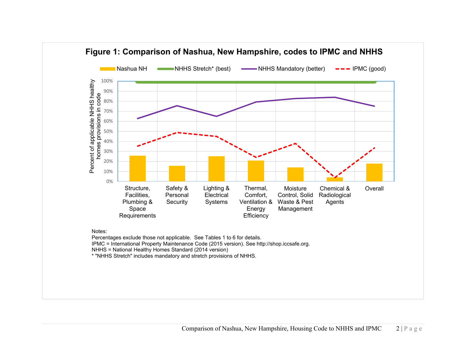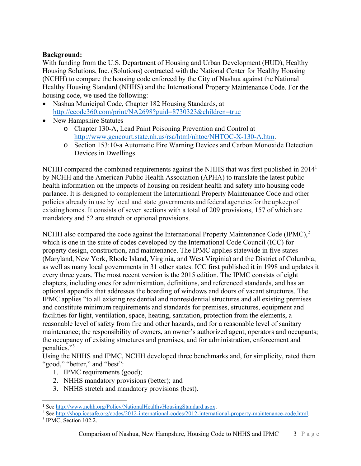## **Background:**

With funding from the U.S. Department of Housing and Urban Development (HUD), Healthy Housing Solutions, Inc. (Solutions) contracted with the National Center for Healthy Housing (NCHH) to compare the housing code enforced by the City of Nashua against the National Healthy Housing Standard (NHHS) and the International Property Maintenance Code. For the housing code, we used the following:

- Nashua Municipal Code, Chapter 182 Housing Standards, at http://ecode360.com/print/NA2698?guid=8730323&children=true
- New Hampshire Statutes
	- o Chapter 130-A, Lead Paint Poisoning Prevention and Control at http://www.gencourt.state.nh.us/rsa/html/nhtoc/NHTOC-X-130-A.htm.
	- o Section 153:10-a Automatic Fire Warning Devices and Carbon Monoxide Detection Devices in Dwellings.

NCHH compared the combined requirements against the NHHS that was first published in 2014<sup>1</sup> by NCHH and the American Public Health Association (APHA) to translate the latest public health information on the impacts of housing on resident health and safety into housing code parlance. It is designed to complement the International Property Maintenance Code and other policies already in use by local and state governments and federal agencies for the upkeep of existing homes. It consists of seven sections with a total of 209 provisions, 157 of which are mandatory and 52 are stretch or optional provisions.

NCHH also compared the code against the International Property Maintenance Code (IPMC),<sup>2</sup> which is one in the suite of codes developed by the International Code Council (ICC) for property design, construction, and maintenance. The IPMC applies statewide in five states (Maryland, New York, Rhode Island, Virginia, and West Virginia) and the District of Columbia, as well as many local governments in 31 other states. ICC first published it in 1998 and updates it every three years. The most recent version is the 2015 edition. The IPMC consists of eight chapters, including ones for administration, definitions, and referenced standards, and has an optional appendix that addresses the boarding of windows and doors of vacant structures. The IPMC applies "to all existing residential and nonresidential structures and all existing premises and constitute minimum requirements and standards for premises, structures, equipment and facilities for light, ventilation, space, heating, sanitation, protection from the elements, a reasonable level of safety from fire and other hazards, and for a reasonable level of sanitary maintenance; the responsibility of owners, an owner's authorized agent, operators and occupants; the occupancy of existing structures and premises, and for administration, enforcement and penalties."<sup>3</sup>

Using the NHHS and IPMC, NCHH developed three benchmarks and, for simplicity, rated them "good," "better," and "best":

- 1. IPMC requirements (good);
- 2. NHHS mandatory provisions (better); and
- 3. NHHS stretch and mandatory provisions (best).

<sup>&</sup>lt;sup>1</sup> See http://www.nchh.org/Policy/NationalHealthyHousingStandard.aspx.<br><sup>2</sup> See http://shop.iccsafe.org/codes/2012-international-codes/2012-internati

<sup>&</sup>lt;sup>2</sup> See http://shop.iccsafe.org/codes/2012-international-codes/2012-international-property-maintenance-code.html.

 $3$  IPMC, Section 102.2.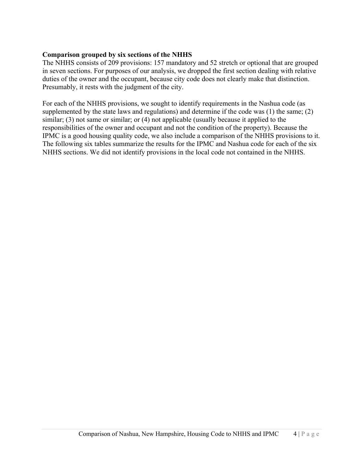#### **Comparison grouped by six sections of the NHHS**

The NHHS consists of 209 provisions: 157 mandatory and 52 stretch or optional that are grouped in seven sections. For purposes of our analysis, we dropped the first section dealing with relative duties of the owner and the occupant, because city code does not clearly make that distinction. Presumably, it rests with the judgment of the city.

For each of the NHHS provisions, we sought to identify requirements in the Nashua code (as supplemented by the state laws and regulations) and determine if the code was (1) the same; (2) similar; (3) not same or similar; or (4) not applicable (usually because it applied to the responsibilities of the owner and occupant and not the condition of the property). Because the IPMC is a good housing quality code, we also include a comparison of the NHHS provisions to it. The following six tables summarize the results for the IPMC and Nashua code for each of the six NHHS sections. We did not identify provisions in the local code not contained in the NHHS.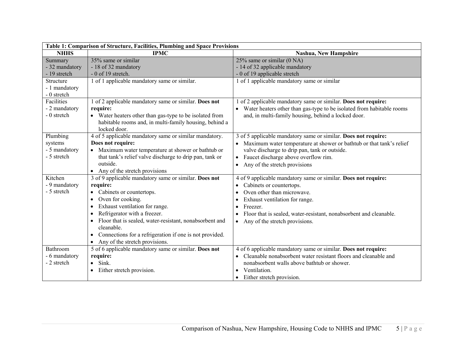| Table 1: Comparison of Structure, Facilities, Plumbing and Space Provisions |                                                                                                                                                                                                                                                                                                                                                                                                   |                                                                                                                                                                                                                                                                                                                                    |
|-----------------------------------------------------------------------------|---------------------------------------------------------------------------------------------------------------------------------------------------------------------------------------------------------------------------------------------------------------------------------------------------------------------------------------------------------------------------------------------------|------------------------------------------------------------------------------------------------------------------------------------------------------------------------------------------------------------------------------------------------------------------------------------------------------------------------------------|
| <b>NHHS</b>                                                                 | <b>IPMC</b>                                                                                                                                                                                                                                                                                                                                                                                       | Nashua, New Hampshire                                                                                                                                                                                                                                                                                                              |
| Summary<br>- 32 mandatory<br>- 19 stretch                                   | 35% same or similar<br>- 18 of 32 mandatory<br>$-0$ of 19 stretch.                                                                                                                                                                                                                                                                                                                                | 25% same or similar (0 NA)<br>- 14 of 32 applicable mandatory<br>- 0 of 19 applicable stretch                                                                                                                                                                                                                                      |
| Structure<br>- 1 mandatory<br>- 0 stretch                                   | 1 of 1 applicable mandatory same or similar.                                                                                                                                                                                                                                                                                                                                                      | 1 of 1 applicable mandatory same or similar                                                                                                                                                                                                                                                                                        |
| Facilities<br>- 2 mandatory<br>- 0 stretch                                  | 1 of 2 applicable mandatory same or similar. Does not<br>require:<br>• Water heaters other than gas-type to be isolated from<br>habitable rooms and, in multi-family housing, behind a<br>locked door.                                                                                                                                                                                            | of 2 applicable mandatory same or similar. Does not require:<br>Water heaters other than gas-type to be isolated from habitable rooms<br>and, in multi-family housing, behind a locked door.                                                                                                                                       |
| Plumbing<br>systems<br>- 5 mandatory<br>- 5 stretch                         | 4 of 5 applicable mandatory same or similar mandatory.<br>Does not require:<br>• Maximum water temperature at shower or bathtub or<br>that tank's relief valve discharge to drip pan, tank or<br>outside.<br>• Any of the stretch provisions                                                                                                                                                      | 3 of 5 applicable mandatory same or similar. Does not require:<br>Maximum water temperature at shower or bathtub or that tank's relief<br>valve discharge to drip pan, tank or outside.<br>Faucet discharge above overflow rim.<br>$\bullet$<br>Any of the stretch provisions<br>$\bullet$                                         |
| Kitchen<br>- 9 mandatory<br>- 5 stretch                                     | 3 of 9 applicable mandatory same or similar. Does not<br>require:<br>Cabinets or countertops.<br>$\bullet$<br>Oven for cooking.<br>Exhaust ventilation for range.<br>Refrigerator with a freezer.<br>Floor that is sealed, water-resistant, nonabsorbent and<br>cleanable.<br>Connections for a refrigeration if one is not provided.<br>$\bullet$<br>Any of the stretch provisions.<br>$\bullet$ | 4 of 9 applicable mandatory same or similar. Does not require:<br>Cabinets or countertops.<br>$\bullet$<br>Oven other than microwave.<br>$\bullet$<br>Exhaust ventilation for range.<br>Freezer.<br>Floor that is sealed, water-resistant, nonabsorbent and cleanable.<br>$\bullet$<br>Any of the stretch provisions.<br>$\bullet$ |
| Bathroom<br>- 6 mandatory<br>- 2 stretch                                    | 5 of 6 applicable mandatory same or similar. Does not<br>require:<br>Sink.<br>$\bullet$<br>Either stretch provision.<br>$\bullet$                                                                                                                                                                                                                                                                 | 4 of 6 applicable mandatory same or similar. Does not require:<br>Cleanable nonabsorbent water resistant floors and cleanable and<br>nonabsorbent walls above bathtub or shower.<br>Ventilation.<br>Either stretch provision.<br>$\bullet$                                                                                         |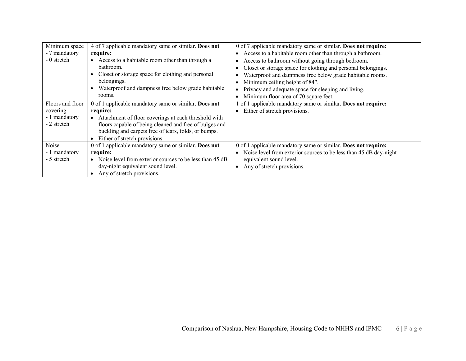| Minimum space    | 4 of 7 applicable mandatory same or similar. Does not   | 0 of 7 applicable mandatory same or similar. Does not require:    |
|------------------|---------------------------------------------------------|-------------------------------------------------------------------|
| - 7 mandatory    | require:                                                | Access to a habitable room other than through a bathroom.         |
| - 0 stretch      | Access to a habitable room other than through a         | Access to bathroom without going through bedroom.                 |
|                  | bathroom.                                               | Closet or storage space for clothing and personal belongings.     |
|                  | Closet or storage space for clothing and personal       | Waterproof and dampness free below grade habitable rooms.         |
|                  | belongings.                                             | Minimum ceiling height of 84".                                    |
|                  | Waterproof and dampness free below grade habitable      | Privacy and adequate space for sleeping and living.               |
|                  | rooms.                                                  | Minimum floor area of 70 square feet.                             |
| Floors and floor | 0 of 1 applicable mandatory same or similar. Does not   | of 1 applicable mandatory same or similar. Does not require:      |
| covering         | require:                                                | Either of stretch provisions.                                     |
| - 1 mandatory    | Attachment of floor coverings at each threshold with    |                                                                   |
| - 2 stretch      | floors capable of being cleaned and free of bulges and  |                                                                   |
|                  | buckling and carpets free of tears, folds, or bumps.    |                                                                   |
|                  | Either of stretch provisions.                           |                                                                   |
| Noise            | 0 of 1 applicable mandatory same or similar. Does not   | 0 of 1 applicable mandatory same or similar. Does not require:    |
| - 1 mandatory    | require:                                                | Noise level from exterior sources to be less than 45 dB day-night |
| - 5 stretch      | Noise level from exterior sources to be less than 45 dB | equivalent sound level.                                           |
|                  | day-night equivalent sound level.                       | Any of stretch provisions.                                        |
|                  | Any of stretch provisions.                              |                                                                   |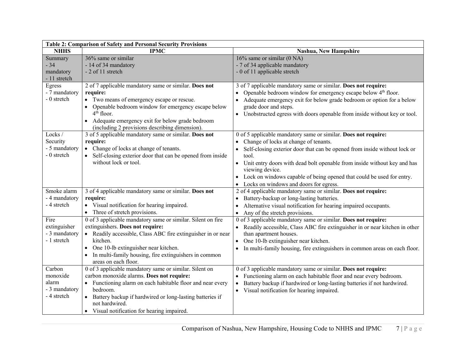| Table 2: Comparison of Safety and Personal Security Provisions |                                                                                                                                                                                                                                                                                                                   |                                                                                                                                                                                                                                                                                                                                                                                                                                           |  |
|----------------------------------------------------------------|-------------------------------------------------------------------------------------------------------------------------------------------------------------------------------------------------------------------------------------------------------------------------------------------------------------------|-------------------------------------------------------------------------------------------------------------------------------------------------------------------------------------------------------------------------------------------------------------------------------------------------------------------------------------------------------------------------------------------------------------------------------------------|--|
| <b>NHHS</b>                                                    | <b>IPMC</b>                                                                                                                                                                                                                                                                                                       | Nashua, New Hampshire                                                                                                                                                                                                                                                                                                                                                                                                                     |  |
| Summary<br>$-34$<br>mandatory<br>- 11 stretch                  | 36% same or similar<br>- 14 of 34 mandatory<br>- 2 of 11 stretch                                                                                                                                                                                                                                                  | $16\%$ same or similar (0 NA)<br>- 7 of 34 applicable mandatory<br>- 0 of 11 applicable stretch                                                                                                                                                                                                                                                                                                                                           |  |
| Egress<br>- 7 mandatory<br>- 0 stretch                         | 2 of 7 applicable mandatory same or similar. Does not<br>require:<br>• Two means of emergency escape or rescue.<br>Openable bedroom window for emergency escape below<br>$4th$ floor.<br>• Adequate emergency exit for below grade bedroom<br>(including 2 provisions describing dimension).                      | 3 of 7 applicable mandatory same or similar. Does not require:<br>Openable bedroom window for emergency escape below $4th$ floor.<br>Adequate emergency exit for below grade bedroom or option for a below<br>$\bullet$<br>grade door and steps.<br>Unobstructed egress with doors openable from inside without key or tool.<br>$\bullet$                                                                                                 |  |
| Locks /<br>Security<br>- 5 mandatory<br>- 0 stretch            | 3 of 5 applicable mandatory same or similar. Does not<br>require:<br>• Change of locks at change of tenants.<br>Self-closing exterior door that can be opened from inside<br>without lock or tool.                                                                                                                | 0 of 5 applicable mandatory same or similar. Does not require:<br>Change of locks at change of tenants.<br>Self-closing exterior door that can be opened from inside without lock or<br>$\bullet$<br>tool.<br>Unit entry doors with dead bolt openable from inside without key and has<br>$\bullet$<br>viewing device.<br>Lock on windows capable of being opened that could be used for entry.<br>Locks on windows and doors for egress. |  |
| Smoke alarm<br>- 4 mandatory<br>- 4 stretch                    | 3 of 4 applicable mandatory same or similar. Does not<br>require:<br>• Visual notification for hearing impaired.<br>• Three of stretch provisions.                                                                                                                                                                | 2 of 4 applicable mandatory same or similar. Does not require:<br>Battery-backup or long-lasting batteries.<br>Alternative visual notification for hearing impaired occupants.<br>Any of the stretch provisions.<br>$\bullet$                                                                                                                                                                                                             |  |
| Fire<br>extinguisher<br>- 3 mandatory<br>- 1 stretch           | 0 of 3 applicable mandatory same or similar. Silent on fire<br>extinguishers. Does not require:<br>• Readily accessible, Class ABC fire extinguisher in or near<br>kitchen.<br>One 10-lb extinguisher near kitchen.<br>$\bullet$<br>In multi-family housing, fire extinguishers in common<br>areas on each floor. | 0 of 3 applicable mandatory same or similar. Does not require:<br>Readily accessible, Class ABC fire extinguisher in or near kitchen in other<br>$\bullet$<br>than apartment houses.<br>$\bullet$ One 10-lb extinguisher near kitchen.<br>In multi-family housing, fire extinguishers in common areas on each floor.                                                                                                                      |  |
| Carbon<br>monoxide<br>alarm<br>- 3 mandatory<br>- 4 stretch    | 0 of 3 applicable mandatory same or similar. Silent on<br>carbon monoxide alarms. Does not require:<br>• Functioning alarm on each habitable floor and near every<br>bedroom.<br>• Battery backup if hardwired or long-lasting batteries if<br>not hardwired.<br>• Visual notification for hearing impaired.      | 0 of 3 applicable mandatory same or similar. Does not require:<br>Functioning alarm on each habitable floor and near every bedroom.<br>$\bullet$<br>Battery backup if hardwired or long-lasting batteries if not hardwired.<br>$\bullet$<br>• Visual notification for hearing impaired.                                                                                                                                                   |  |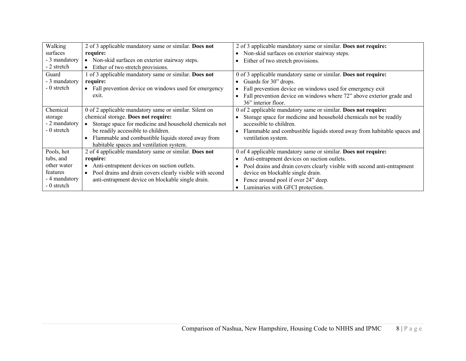| Walking<br>surfaces<br>- 3 mandatory<br>- 2 stretch                                | 2 of 3 applicable mandatory same or similar. Does not<br>require:<br>Non-skid surfaces on exterior stairway steps.<br>Either of two stretch provisions.                                                                                                                                         | 2 of 3 applicable mandatory same or similar. Does not require:<br>Non-skid surfaces on exterior stairway steps.<br>Either of two stretch provisions.                                                                                                                                                      |
|------------------------------------------------------------------------------------|-------------------------------------------------------------------------------------------------------------------------------------------------------------------------------------------------------------------------------------------------------------------------------------------------|-----------------------------------------------------------------------------------------------------------------------------------------------------------------------------------------------------------------------------------------------------------------------------------------------------------|
| Guard<br>- 3 mandatory<br>- 0 stretch                                              | 1 of 3 applicable mandatory same or similar. Does not<br>require:<br>• Fall prevention device on windows used for emergency<br>exit.                                                                                                                                                            | 0 of 3 applicable mandatory same or similar. Does not require:<br>Guards for 30" drops.<br>Fall prevention device on windows used for emergency exit<br>Fall prevention device on windows where 72" above exterior grade and<br>36" interior floor.                                                       |
| Chemical<br>storage<br>- 2 mandatory<br>- 0 stretch                                | 0 of 2 applicable mandatory same or similar. Silent on<br>chemical storage. Does not require:<br>Storage space for medicine and household chemicals not<br>be readily accessible to children.<br>Flammable and combustible liquids stored away from<br>habitable spaces and ventilation system. | 0 of 2 applicable mandatory same or similar. Does not require:<br>Storage space for medicine and household chemicals not be readily<br>accessible to children.<br>Flammable and combustible liquids stored away from habitable spaces and<br>ventilation system.                                          |
| Pools, hot<br>tubs, and<br>other water<br>features<br>- 4 mandatory<br>- 0 stretch | 2 of 4 applicable mandatory same or similar. Does not<br>require:<br>Anti-entrapment devices on suction outlets.<br>Pool drains and drain covers clearly visible with second<br>$\bullet$<br>anti-entrapment device on blockable single drain.                                                  | 0 of 4 applicable mandatory same or similar. Does not require:<br>Anti-entrapment devices on suction outlets.<br>Pool drains and drain covers clearly visible with second anti-entrapment<br>device on blockable single drain.<br>Fence around pool if over 24" deep.<br>Luminaries with GFCI protection. |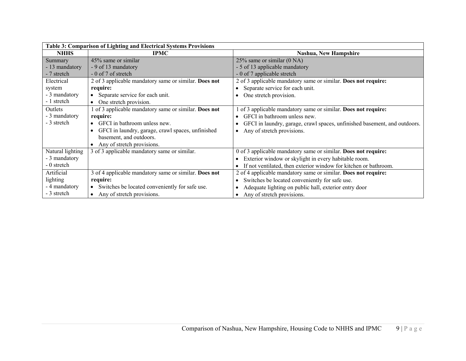| Table 3: Comparison of Lighting and Electrical Systems Provisions |                                                             |                                                                           |
|-------------------------------------------------------------------|-------------------------------------------------------------|---------------------------------------------------------------------------|
| <b>NHHS</b>                                                       | <b>IPMC</b>                                                 | <b>Nashua, New Hampshire</b>                                              |
| Summary                                                           | 45% same or similar                                         | 25% same or similar (0 NA)                                                |
| - 13 mandatory                                                    | - 9 of 13 mandatory                                         | - 5 of 13 applicable mandatory                                            |
| - 7 stretch                                                       | - 0 of 7 of stretch                                         | - 0 of 7 applicable stretch                                               |
| Electrical                                                        | 2 of 3 applicable mandatory same or similar. Does not       | 2 of 3 applicable mandatory same or similar. Does not require:            |
| system                                                            | require:                                                    | Separate service for each unit.                                           |
| - 3 mandatory                                                     | Separate service for each unit.                             | One stretch provision.                                                    |
| - 1 stretch                                                       | One stretch provision.                                      |                                                                           |
| Outlets                                                           | 1 of 3 applicable mandatory same or similar. Does not       | of 3 applicable mandatory same or similar. Does not require:              |
| - 3 mandatory                                                     | require:                                                    | GFCI in bathroom unless new.                                              |
| - 3 stretch                                                       | GFCI in bathroom unless new.                                | GFCI in laundry, garage, crawl spaces, unfinished basement, and outdoors. |
|                                                                   | GFCI in laundry, garage, crawl spaces, unfinished           | Any of stretch provisions.                                                |
|                                                                   | basement, and outdoors.                                     |                                                                           |
|                                                                   | Any of stretch provisions.                                  |                                                                           |
| Natural lighting                                                  | 3 of 3 applicable mandatory same or similar.                | 0 of 3 applicable mandatory same or similar. Does not require:            |
| - 3 mandatory                                                     |                                                             | Exterior window or skylight in every habitable room.                      |
| - 0 stretch                                                       |                                                             | If not ventilated, then exterior window for kitchen or bathroom.          |
| Artificial                                                        | 3 of 4 applicable mandatory same or similar. Does not       | 2 of 4 applicable mandatory same or similar. Does not require:            |
| lighting                                                          | require:                                                    | Switches be located conveniently for safe use.                            |
| - 4 mandatory                                                     | Switches be located conveniently for safe use.<br>$\bullet$ | Adequate lighting on public hall, exterior entry door                     |
| - 3 stretch                                                       | Any of stretch provisions.                                  | Any of stretch provisions.                                                |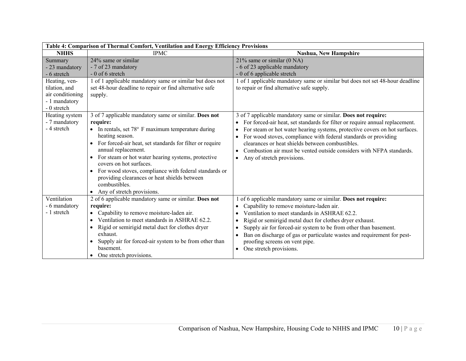| Table 4: Comparison of Thermal Comfort, Ventilation and Energy Efficiency Provisions                                           |                                                                                                                                                                                                                                                                                                                                                                                                                                                                                                      |                                                                                                                                                                                                                                                                                                                                                                                                                                                             |
|--------------------------------------------------------------------------------------------------------------------------------|------------------------------------------------------------------------------------------------------------------------------------------------------------------------------------------------------------------------------------------------------------------------------------------------------------------------------------------------------------------------------------------------------------------------------------------------------------------------------------------------------|-------------------------------------------------------------------------------------------------------------------------------------------------------------------------------------------------------------------------------------------------------------------------------------------------------------------------------------------------------------------------------------------------------------------------------------------------------------|
| <b>NHHS</b>                                                                                                                    | <b>IPMC</b>                                                                                                                                                                                                                                                                                                                                                                                                                                                                                          | <b>Nashua, New Hampshire</b>                                                                                                                                                                                                                                                                                                                                                                                                                                |
| Summary<br>- 23 mandatory<br>- 6 stretch<br>Heating, ven-<br>tilation, and<br>air conditioning<br>- 1 mandatory<br>- 0 stretch | 24% same or similar<br>- 7 of 23 mandatory<br>$-0$ of 6 stretch<br>1 of 1 applicable mandatory same or similar but does not<br>set 48-hour deadline to repair or find alternative safe<br>supply.                                                                                                                                                                                                                                                                                                    | 21% same or similar (0 NA)<br>- 6 of 23 applicable mandatory<br>- 0 of 6 applicable stretch<br>of 1 applicable mandatory same or similar but does not set 48-hour deadline<br>to repair or find alternative safe supply.                                                                                                                                                                                                                                    |
| Heating system<br>- 7 mandatory<br>- 4 stretch                                                                                 | 3 of 7 applicable mandatory same or similar. Does not<br>require:<br>• In rentals, set $78°$ F maximum temperature during<br>heating season.<br>For forced-air heat, set standards for filter or require<br>annual replacement.<br>For steam or hot water hearing systems, protective<br>$\bullet$<br>covers on hot surfaces.<br>• For wood stoves, compliance with federal standards or<br>providing clearances or heat shields between<br>combustibles.<br>Any of stretch provisions.<br>$\bullet$ | 3 of 7 applicable mandatory same or similar. Does not require:<br>For forced-air heat, set standards for filter or require annual replacement.<br>For steam or hot water hearing systems, protective covers on hot surfaces.<br>For wood stoves, compliance with federal standards or providing<br>clearances or heat shields between combustibles.<br>Combustion air must be vented outside considers with NFPA standards.<br>Any of stretch provisions.   |
| Ventilation<br>- 6 mandatory<br>- 1 stretch                                                                                    | 2 of 6 applicable mandatory same or similar. Does not<br>require:<br>Capability to remove moisture-laden air.<br>Ventilation to meet standards in ASHRAE 62.2.<br>Rigid or semirigid metal duct for clothes dryer<br>$\bullet$<br>exhaust.<br>Supply air for forced-air system to be from other than<br>$\bullet$<br>basement.<br>One stretch provisions.                                                                                                                                            | of 6 applicable mandatory same or similar. Does not require:<br>Capability to remove moisture-laden air.<br>Ventilation to meet standards in ASHRAE 62.2.<br>Rigid or semirigid metal duct for clothes dryer exhaust.<br>Supply air for forced-air system to be from other than basement.<br>Ban on discharge of gas or particulate wastes and requirement for pest-<br>$\bullet$<br>proofing screens on vent pipe.<br>One stretch provisions.<br>$\bullet$ |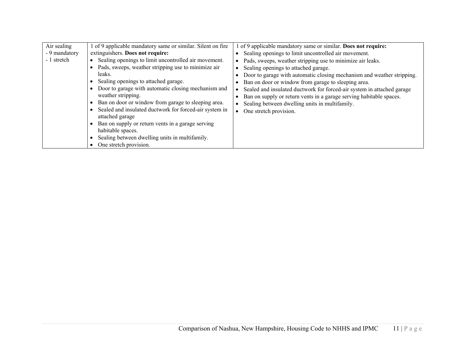| Air sealing<br>- 9 mandatory<br>- 1 stretch | of 9 applicable mandatory same or similar. Silent on fire<br>extinguishers. Does not require:<br>Sealing openings to limit uncontrolled air movement.<br>Pads, sweeps, weather stripping use to minimize air<br>leaks.<br>Sealing openings to attached garage.<br>Door to garage with automatic closing mechanism and<br>weather stripping.<br>Ban on door or window from garage to sleeping area.<br>Sealed and insulated ductwork for forced-air system in<br>attached garage<br>Ban on supply or return vents in a garage serving<br>habitable spaces.<br>Sealing between dwelling units in multifamily.<br>One stretch provision. | of 9 applicable mandatory same or similar. Does not require:<br>Sealing openings to limit uncontrolled air movement.<br>Pads, sweeps, weather stripping use to minimize air leaks.<br>Sealing openings to attached garage.<br>Door to garage with automatic closing mechanism and weather stripping.<br>Ban on door or window from garage to sleeping area.<br>Sealed and insulated ductwork for forced-air system in attached garage<br>Ban on supply or return vents in a garage serving habitable spaces.<br>Sealing between dwelling units in multifamily.<br>One stretch provision. |
|---------------------------------------------|---------------------------------------------------------------------------------------------------------------------------------------------------------------------------------------------------------------------------------------------------------------------------------------------------------------------------------------------------------------------------------------------------------------------------------------------------------------------------------------------------------------------------------------------------------------------------------------------------------------------------------------|------------------------------------------------------------------------------------------------------------------------------------------------------------------------------------------------------------------------------------------------------------------------------------------------------------------------------------------------------------------------------------------------------------------------------------------------------------------------------------------------------------------------------------------------------------------------------------------|
|---------------------------------------------|---------------------------------------------------------------------------------------------------------------------------------------------------------------------------------------------------------------------------------------------------------------------------------------------------------------------------------------------------------------------------------------------------------------------------------------------------------------------------------------------------------------------------------------------------------------------------------------------------------------------------------------|------------------------------------------------------------------------------------------------------------------------------------------------------------------------------------------------------------------------------------------------------------------------------------------------------------------------------------------------------------------------------------------------------------------------------------------------------------------------------------------------------------------------------------------------------------------------------------------|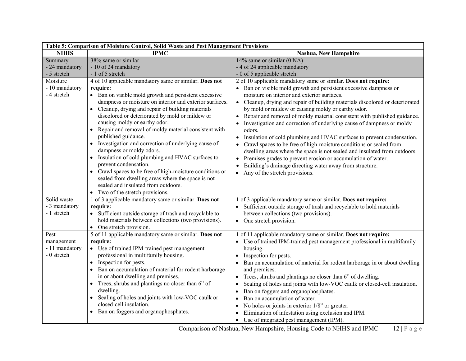| Table 5: Comparison of Moisture Control, Solid Waste and Pest Management Provisions |                                                                                                                                                                                                                                                                                                                                                                                                                                                                                                                                                                                                                                                                                                                                                                                            |                                                                                                                                                                                                                                                                                                                                                                                                                                                                                                                                                                                                                                                                                                                                                                                                                                                                                                                                        |  |
|-------------------------------------------------------------------------------------|--------------------------------------------------------------------------------------------------------------------------------------------------------------------------------------------------------------------------------------------------------------------------------------------------------------------------------------------------------------------------------------------------------------------------------------------------------------------------------------------------------------------------------------------------------------------------------------------------------------------------------------------------------------------------------------------------------------------------------------------------------------------------------------------|----------------------------------------------------------------------------------------------------------------------------------------------------------------------------------------------------------------------------------------------------------------------------------------------------------------------------------------------------------------------------------------------------------------------------------------------------------------------------------------------------------------------------------------------------------------------------------------------------------------------------------------------------------------------------------------------------------------------------------------------------------------------------------------------------------------------------------------------------------------------------------------------------------------------------------------|--|
| <b>NHHS</b>                                                                         | <b>IPMC</b>                                                                                                                                                                                                                                                                                                                                                                                                                                                                                                                                                                                                                                                                                                                                                                                | Nashua, New Hampshire                                                                                                                                                                                                                                                                                                                                                                                                                                                                                                                                                                                                                                                                                                                                                                                                                                                                                                                  |  |
| Summary                                                                             | $\overline{38\%}$ same or similar                                                                                                                                                                                                                                                                                                                                                                                                                                                                                                                                                                                                                                                                                                                                                          | 14% same or similar $(0 NA)$                                                                                                                                                                                                                                                                                                                                                                                                                                                                                                                                                                                                                                                                                                                                                                                                                                                                                                           |  |
| - 24 mandatory                                                                      | - 10 of 24 mandatory                                                                                                                                                                                                                                                                                                                                                                                                                                                                                                                                                                                                                                                                                                                                                                       | - 4 of 24 applicable mandatory                                                                                                                                                                                                                                                                                                                                                                                                                                                                                                                                                                                                                                                                                                                                                                                                                                                                                                         |  |
| - 5 stretch                                                                         | - 1 of 5 stretch                                                                                                                                                                                                                                                                                                                                                                                                                                                                                                                                                                                                                                                                                                                                                                           | - 0 of 5 applicable stretch                                                                                                                                                                                                                                                                                                                                                                                                                                                                                                                                                                                                                                                                                                                                                                                                                                                                                                            |  |
| Moisture<br>- 10 mandatory<br>- 4 stretch                                           | 4 of 10 applicable mandatory same or similar. Does not<br>require:<br>• Ban on visible mold growth and persistent excessive<br>dampness or moisture on interior and exterior surfaces.<br>Cleanup, drying and repair of building materials<br>$\bullet$<br>discolored or deteriorated by mold or mildew or<br>causing moldy or earthy odor.<br>Repair and removal of moldy material consistent with<br>published guidance.<br>• Investigation and correction of underlying cause of<br>dampness or moldy odors.<br>• Insulation of cold plumbing and HVAC surfaces to<br>prevent condensation.<br>• Crawl spaces to be free of high-moisture conditions or<br>sealed from dwelling areas where the space is not<br>sealed and insulated from outdoors.<br>• Two of the stretch provisions. | 2 of 10 applicable mandatory same or similar. Does not require:<br>• Ban on visible mold growth and persistent excessive dampness or<br>moisture on interior and exterior surfaces.<br>Cleanup, drying and repair of building materials discolored or deteriorated<br>$\bullet$<br>by mold or mildew or causing moldy or earthy odor.<br>Repair and removal of moldy material consistent with published guidance.<br>$\bullet$<br>Investigation and correction of underlying cause of dampness or moldy<br>odors.<br>Insulation of cold plumbing and HVAC surfaces to prevent condensation.<br>$\bullet$<br>Crawl spaces to be free of high-moisture conditions or sealed from<br>dwelling areas where the space is not sealed and insulated from outdoors.<br>Premises grades to prevent erosion or accumulation of water.<br>Building's drainage directing water away from structure.<br>Any of the stretch provisions.<br>$\bullet$ |  |
| Solid waste<br>- 3 mandatory<br>- 1 stretch                                         | 1 of 3 applicable mandatory same or similar. Does not<br>require:<br>• Sufficient outside storage of trash and recyclable to<br>hold materials between collections (two provisions).<br>One stretch provision.<br>$\bullet$                                                                                                                                                                                                                                                                                                                                                                                                                                                                                                                                                                | 1 of 3 applicable mandatory same or similar. Does not require:<br>• Sufficient outside storage of trash and recyclable to hold materials<br>between collections (two provisions).<br>• One stretch provision.                                                                                                                                                                                                                                                                                                                                                                                                                                                                                                                                                                                                                                                                                                                          |  |
| Pest<br>management<br>- 11 mandatory<br>- 0 stretch                                 | 5 of 11 applicable mandatory same or similar. Does not<br>require:<br>• Use of trained IPM-trained pest management<br>professional in multifamily housing.<br>Inspection for pests.<br>$\bullet$<br>Ban on accumulation of material for rodent harborage<br>in or about dwelling and premises.<br>Trees, shrubs and plantings no closer than 6" of<br>$\bullet$<br>dwelling.<br>Sealing of holes and joints with low-VOC caulk or<br>$\bullet$<br>closed-cell insulation.<br>Ban on foggers and organophosphates.<br>$\bullet$                                                                                                                                                                                                                                                             | 1 of 11 applicable mandatory same or similar. Does not require:<br>Use of trained IPM-trained pest management professional in multifamily<br>housing.<br>Inspection for pests.<br>Ban on accumulation of material for rodent harborage in or about dwelling<br>and premises.<br>Trees, shrubs and plantings no closer than 6" of dwelling.<br>$\bullet$<br>Sealing of holes and joints with low-VOC caulk or closed-cell insulation.<br>Ban on foggers and organophosphates.<br>$\bullet$<br>Ban on accumulation of water.<br>$\bullet$<br>No holes or joints in exterior 1/8" or greater.<br>Elimination of infestation using exclusion and IPM.<br>• Use of integrated pest management (IPM).                                                                                                                                                                                                                                        |  |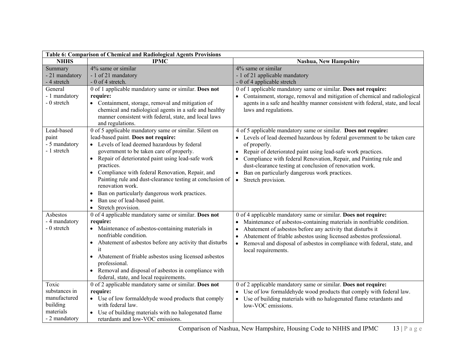| Table 6: Comparison of Chemical and Radiological Agents Provisions               |                                                                                                                                                                                                                                                                                                                                                                                                                                                                                                                                                               |                                                                                                                                                                                                                                                                                                                                                                                                                                                            |  |
|----------------------------------------------------------------------------------|---------------------------------------------------------------------------------------------------------------------------------------------------------------------------------------------------------------------------------------------------------------------------------------------------------------------------------------------------------------------------------------------------------------------------------------------------------------------------------------------------------------------------------------------------------------|------------------------------------------------------------------------------------------------------------------------------------------------------------------------------------------------------------------------------------------------------------------------------------------------------------------------------------------------------------------------------------------------------------------------------------------------------------|--|
| <b>NHHS</b>                                                                      | <b>IPMC</b>                                                                                                                                                                                                                                                                                                                                                                                                                                                                                                                                                   | Nashua, New Hampshire                                                                                                                                                                                                                                                                                                                                                                                                                                      |  |
| Summary<br>- 21 mandatory<br>- 4 stretch                                         | 4% same or similar<br>- 1 of 21 mandatory<br>- 0 of 4 stretch.                                                                                                                                                                                                                                                                                                                                                                                                                                                                                                | 4% same or similar<br>- 1 of 21 applicable mandatory<br>- 0 of 4 applicable stretch                                                                                                                                                                                                                                                                                                                                                                        |  |
| General<br>- 1 mandatory<br>- 0 stretch                                          | 0 of 1 applicable mandatory same or similar. Does not<br>require:<br>• Containment, storage, removal and mitigation of<br>chemical and radiological agents in a safe and healthy<br>manner consistent with federal, state, and local laws<br>and regulations.                                                                                                                                                                                                                                                                                                 | 0 of 1 applicable mandatory same or similar. Does not require:<br>Containment, storage, removal and mitigation of chemical and radiological<br>agents in a safe and healthy manner consistent with federal, state, and local<br>laws and regulations.                                                                                                                                                                                                      |  |
| Lead-based<br>paint<br>- 5 mandatory<br>- 1 stretch                              | 0 of 5 applicable mandatory same or similar. Silent on<br>lead-based paint. Does not require:<br>• Levels of lead deemed hazardous by federal<br>government to be taken care of properly.<br>• Repair of deteriorated paint using lead-safe work<br>practices.<br>Compliance with federal Renovation, Repair, and<br>$\bullet$<br>Painting rule and dust-clearance testing at conclusion of<br>renovation work.<br>Ban on particularly dangerous work practices.<br>$\bullet$<br>Ban use of lead-based paint.<br>$\bullet$<br>Stretch provision.<br>$\bullet$ | 4 of 5 applicable mandatory same or similar. Does not require:<br>Levels of lead deemed hazardous by federal government to be taken care<br>of properly.<br>Repair of deteriorated paint using lead-safe work practices.<br>Compliance with federal Renovation, Repair, and Painting rule and<br>dust-clearance testing at conclusion of renovation work.<br>Ban on particularly dangerous work practices.<br>$\bullet$<br>Stretch provision.<br>$\bullet$ |  |
| Asbestos<br>- 4 mandatory<br>- 0 stretch                                         | 0 of 4 applicable mandatory same or similar. Does not<br>require:<br>• Maintenance of asbestos-containing materials in<br>nonfriable condition.<br>• Abatement of asbestos before any activity that disturbs<br>it<br>Abatement of friable asbestos using licensed asbestos<br>$\bullet$<br>professional.<br>Removal and disposal of asbestos in compliance with<br>federal, state, and local requirements.                                                                                                                                                   | 0 of 4 applicable mandatory same or similar. Does not require:<br>Maintenance of asbestos-containing materials in nonfriable condition.<br>Abatement of asbestos before any activity that disturbs it<br>Abatement of friable asbestos using licensed asbestos professional.<br>$\bullet$<br>Removal and disposal of asbestos in compliance with federal, state, and<br>$\bullet$<br>local requirements.                                                   |  |
| Toxic<br>substances in<br>manufactured<br>building<br>materials<br>- 2 mandatory | 0 of 2 applicable mandatory same or similar. Does not<br>require:<br>• Use of low formaldehyde wood products that comply<br>with federal law.<br>• Use of building materials with no halogenated flame<br>retardants and low-VOC emissions.                                                                                                                                                                                                                                                                                                                   | 0 of 2 applicable mandatory same or similar. Does not require:<br>Use of low formaldehyde wood products that comply with federal law.<br>Use of building materials with no halogenated flame retardants and<br>$\bullet$<br>low-VOC emissions.                                                                                                                                                                                                             |  |